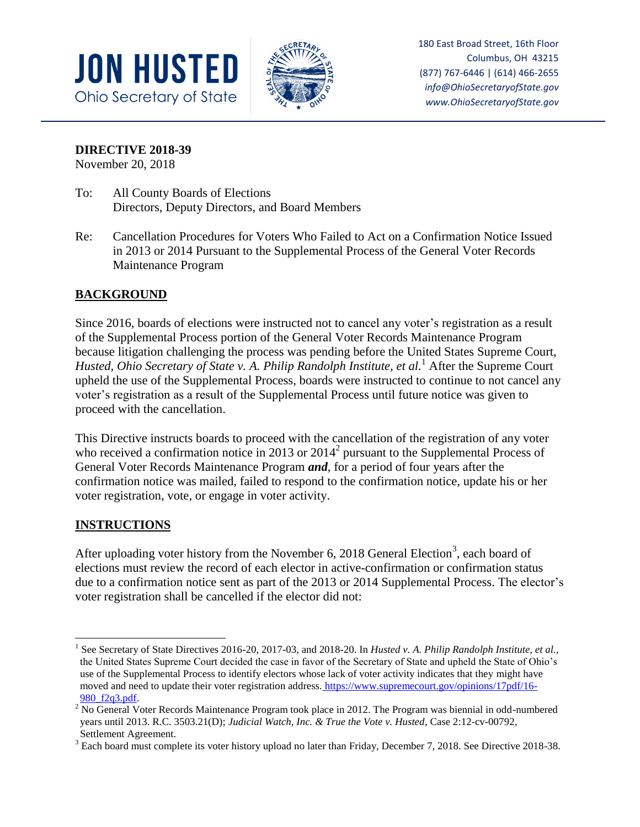



180 East Broad Street, 16th Floor Columbus, OH 43215 (877) 767-6446 | (614) 466-2655 *info@OhioSecretaryofState.gov www.OhioSecretaryofState.gov*

**DIRECTIVE 2018-39**

November 20, 2018

- To: All County Boards of Elections Directors, Deputy Directors, and Board Members
- Re: Cancellation Procedures for Voters Who Failed to Act on a Confirmation Notice Issued in 2013 or 2014 Pursuant to the Supplemental Process of the General Voter Records Maintenance Program

## **BACKGROUND**

Since 2016, boards of elections were instructed not to cancel any voter's registration as a result of the Supplemental Process portion of the General Voter Records Maintenance Program because litigation challenging the process was pending before the United States Supreme Court, *Husted, Ohio Secretary of State v. A. Philip Randolph Institute, et al.*<sup>1</sup> After the Supreme Court upheld the use of the Supplemental Process, boards were instructed to continue to not cancel any voter's registration as a result of the Supplemental Process until future notice was given to proceed with the cancellation.

This Directive instructs boards to proceed with the cancellation of the registration of any voter who received a confirmation notice in 2013 or  $2014<sup>2</sup>$  pursuant to the Supplemental Process of General Voter Records Maintenance Program *and*, for a period of four years after the confirmation notice was mailed, failed to respond to the confirmation notice, update his or her voter registration, vote, or engage in voter activity.

## **INSTRUCTIONS**

After uploading voter history from the November 6, 2018 General Election<sup>3</sup>, each board of elections must review the record of each elector in active-confirmation or confirmation status due to a confirmation notice sent as part of the 2013 or 2014 Supplemental Process. The elector's voter registration shall be cancelled if the elector did not:

 $\overline{\phantom{a}}$ 1 See Secretary of State Directives 2016-20, 2017-03, and 2018-20. In *Husted v. A. Philip Randolph Institute, et al.,*  the United States Supreme Court decided the case in favor of the Secretary of State and upheld the State of Ohio's use of the Supplemental Process to identify electors whose lack of voter activity indicates that they might have moved and need to update their voter registration address. [https://www.supremecourt.gov/opinions/17pdf/16-](https://www.supremecourt.gov/opinions/17pdf/16-980_f2q3.pdf) [980\\_f2q3.pdf.](https://www.supremecourt.gov/opinions/17pdf/16-980_f2q3.pdf)

 $2$  No General Voter Records Maintenance Program took place in 2012. The Program was biennial in odd-numbered years until 2013. R.C. 3503.21(D); *Judicial Watch, Inc. & True the Vote v. Husted*, Case 2:12-cv-00792, Settlement Agreement.

<sup>&</sup>lt;sup>3</sup> Each board must complete its voter history upload no later than Friday, December 7, 2018. See Directive 2018-38.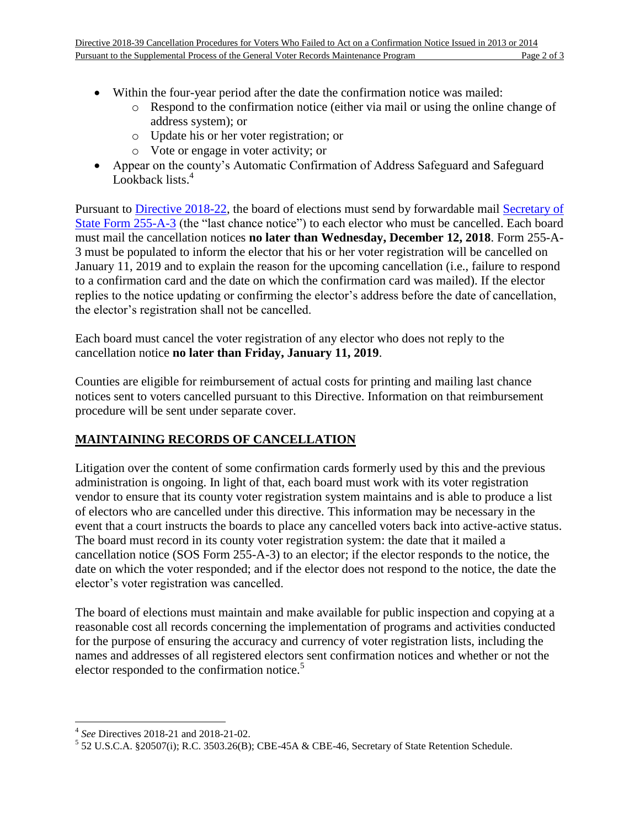- Within the four-year period after the date the confirmation notice was mailed:
	- o Respond to the confirmation notice (either via mail or using the online change of address system); or
	- o Update his or her voter registration; or
	- o Vote or engage in voter activity; or
- Appear on the county's Automatic Confirmation of Address Safeguard and Safeguard Lookback lists.<sup>4</sup>

Pursuant to [Directive 2018-22,](https://www.sos.state.oh.us/globalassets/elections/directives/2018/dir2018-22.pdf) the board of elections must send by forwardable mail [Secretary of](https://www.sos.state.oh.us/globalassets/elections/forms/255-a-3.pdf)  [State Form 255-A-3](https://www.sos.state.oh.us/globalassets/elections/forms/255-a-3.pdf) (the "last chance notice") to each elector who must be cancelled. Each board must mail the cancellation notices **no later than Wednesday, December 12, 2018**. Form 255-A-3 must be populated to inform the elector that his or her voter registration will be cancelled on January 11, 2019 and to explain the reason for the upcoming cancellation (i.e., failure to respond to a confirmation card and the date on which the confirmation card was mailed). If the elector replies to the notice updating or confirming the elector's address before the date of cancellation, the elector's registration shall not be cancelled.

Each board must cancel the voter registration of any elector who does not reply to the cancellation notice **no later than Friday, January 11, 2019**.

Counties are eligible for reimbursement of actual costs for printing and mailing last chance notices sent to voters cancelled pursuant to this Directive. Information on that reimbursement procedure will be sent under separate cover.

## **MAINTAINING RECORDS OF CANCELLATION**

Litigation over the content of some confirmation cards formerly used by this and the previous administration is ongoing. In light of that, each board must work with its voter registration vendor to ensure that its county voter registration system maintains and is able to produce a list of electors who are cancelled under this directive. This information may be necessary in the event that a court instructs the boards to place any cancelled voters back into active-active status. The board must record in its county voter registration system: the date that it mailed a cancellation notice (SOS Form 255-A-3) to an elector; if the elector responds to the notice, the date on which the voter responded; and if the elector does not respond to the notice, the date the elector's voter registration was cancelled.

The board of elections must maintain and make available for public inspection and copying at a reasonable cost all records concerning the implementation of programs and activities conducted for the purpose of ensuring the accuracy and currency of voter registration lists, including the names and addresses of all registered electors sent confirmation notices and whether or not the elector responded to the confirmation notice.<sup>5</sup>

 4 *See* Directives 2018-21 and 2018-21-02.

 $5$  52 U.S.C.A. §20507(i); R.C. 3503.26(B); CBE-45A & CBE-46, Secretary of State Retention Schedule.